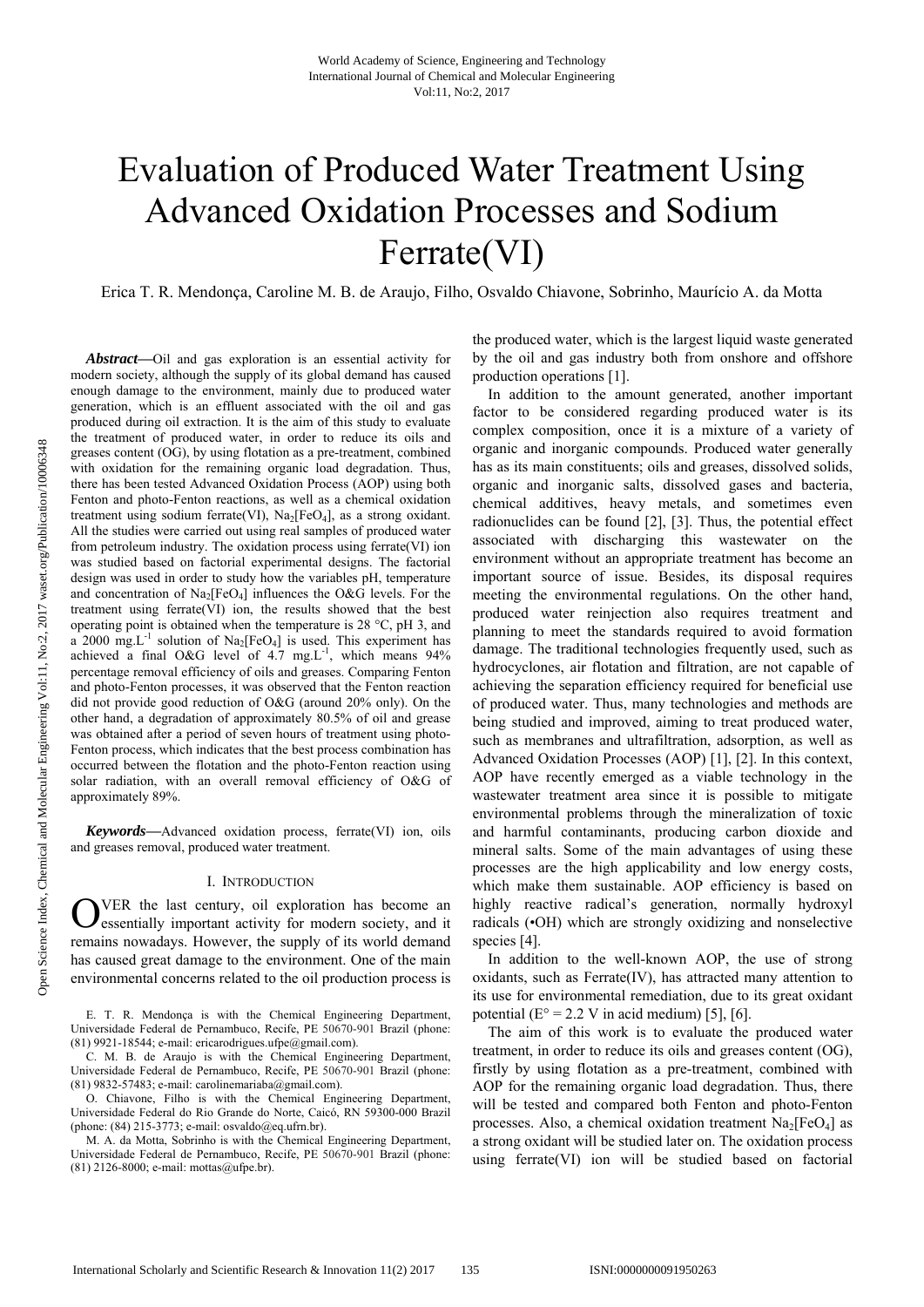# Evaluation of Produced Water Treatment Using Advanced Oxidation Processes and Sodium Ferrate(VI)

Erica T. R. Mendonça, Caroline M. B. de Araujo, Filho, Osvaldo Chiavone, Sobrinho, Maurício A. da Motta

*Abstract***—**Oil and gas exploration is an essential activity for modern society, although the supply of its global demand has caused enough damage to the environment, mainly due to produced water generation, which is an effluent associated with the oil and gas produced during oil extraction. It is the aim of this study to evaluate the treatment of produced water, in order to reduce its oils and greases content (OG), by using flotation as a pre-treatment, combined with oxidation for the remaining organic load degradation. Thus, there has been tested Advanced Oxidation Process (AOP) using both Fenton and photo-Fenton reactions, as well as a chemical oxidation treatment using sodium ferrate(VI),  $Na<sub>2</sub>[FeO<sub>4</sub>]$ , as a strong oxidant. All the studies were carried out using real samples of produced water from petroleum industry. The oxidation process using ferrate(VI) ion was studied based on factorial experimental designs. The factorial design was used in order to study how the variables pH, temperature and concentration of  $Na<sub>2</sub>[FeO<sub>4</sub>]$  influences the O&G levels. For the treatment using ferrate(VI) ion, the results showed that the best operating point is obtained when the temperature is 28 °C, pH 3, and a 2000 mg.L<sup>-1</sup> solution of Na<sub>2</sub>[FeO<sub>4</sub>] is used. This experiment has achieved a final O&G level of  $4.7 \text{ mg.L}^1$ , which means 94% percentage removal efficiency of oils and greases. Comparing Fenton and photo-Fenton processes, it was observed that the Fenton reaction did not provide good reduction of O&G (around 20% only). On the other hand, a degradation of approximately 80.5% of oil and grease was obtained after a period of seven hours of treatment using photo-Fenton process, which indicates that the best process combination has occurred between the flotation and the photo-Fenton reaction using solar radiation, with an overall removal efficiency of O&G of approximately 89%.

*Keywords***—**Advanced oxidation process, ferrate(VI) ion, oils and greases removal, produced water treatment.

#### I. INTRODUCTION

VER the last century, oil exploration has become an OVER the last century, oil exploration has become an essentially important activity for modern society, and it remains nowadays. However, the supply of its world demand has caused great damage to the environment. One of the main environmental concerns related to the oil production process is

E. T. R. Mendonça is with the Chemical Engineering Department, Universidade Federal de Pernambuco, Recife, PE 50670-901 Brazil (phone: (81) 9921-18544; e-mail: ericarodrigues.ufpe@gmail.com).

C. M. B. de Araujo is with the Chemical Engineering Department, Universidade Federal de Pernambuco, Recife, PE 50670-901 Brazil (phone: (81) 9832-57483; e-mail: carolinemariaba@gmail.com).

O. Chiavone, Filho is with the Chemical Engineering Department, Universidade Federal do Rio Grande do Norte, Caicó, RN 59300-000 Brazil (phone: (84) 215-3773; e-mail: osvaldo@eq.ufrn.br).

M. A. da Motta, Sobrinho is with the Chemical Engineering Department, Universidade Federal de Pernambuco, Recife, PE 50670-901 Brazil (phone: (81) 2126-8000; e-mail: mottas@ufpe.br).

the produced water, which is the largest liquid waste generated by the oil and gas industry both from onshore and offshore production operations [1].

In addition to the amount generated, another important factor to be considered regarding produced water is its complex composition, once it is a mixture of a variety of organic and inorganic compounds. Produced water generally has as its main constituents; oils and greases, dissolved solids, organic and inorganic salts, dissolved gases and bacteria, chemical additives, heavy metals, and sometimes even radionuclides can be found [2], [3]. Thus, the potential effect associated with discharging this wastewater on the environment without an appropriate treatment has become an important source of issue. Besides, its disposal requires meeting the environmental regulations. On the other hand, produced water reinjection also requires treatment and planning to meet the standards required to avoid formation damage. The traditional technologies frequently used, such as hydrocyclones, air flotation and filtration, are not capable of achieving the separation efficiency required for beneficial use of produced water. Thus, many technologies and methods are being studied and improved, aiming to treat produced water, such as membranes and ultrafiltration, adsorption, as well as Advanced Oxidation Processes (AOP) [1], [2]. In this context, AOP have recently emerged as a viable technology in the wastewater treatment area since it is possible to mitigate environmental problems through the mineralization of toxic and harmful contaminants, producing carbon dioxide and mineral salts. Some of the main advantages of using these processes are the high applicability and low energy costs, which make them sustainable. AOP efficiency is based on highly reactive radical's generation, normally hydroxyl radicals (•OH) which are strongly oxidizing and nonselective species [4].

In addition to the well-known AOP, the use of strong oxidants, such as Ferrate(IV), has attracted many attention to its use for environmental remediation, due to its great oxidant potential ( $E^{\circ} = 2.2$  V in acid medium) [5], [6].

The aim of this work is to evaluate the produced water treatment, in order to reduce its oils and greases content (OG), firstly by using flotation as a pre-treatment, combined with AOP for the remaining organic load degradation. Thus, there will be tested and compared both Fenton and photo-Fenton processes. Also, a chemical oxidation treatment  $Na<sub>2</sub>[FeO<sub>4</sub>]$  as a strong oxidant will be studied later on. The oxidation process using ferrate(VI) ion will be studied based on factorial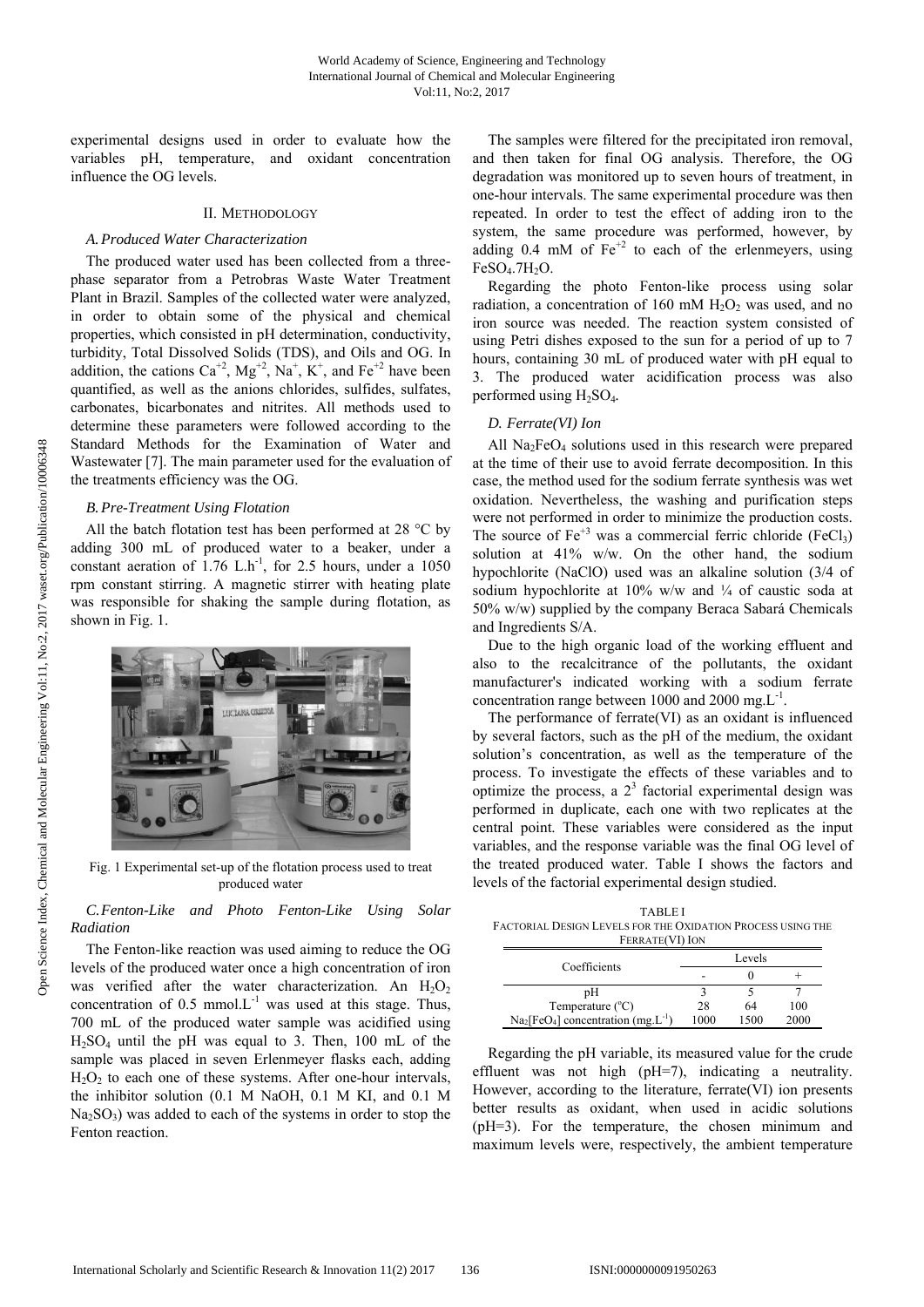experimental designs used in order to evaluate how the variables pH, temperature, and oxidant concentration influence the OG levels.

# II. METHODOLOGY

# *A.Produced Water Characterization*

The produced water used has been collected from a threephase separator from a Petrobras Waste Water Treatment Plant in Brazil. Samples of the collected water were analyzed, in order to obtain some of the physical and chemical properties, which consisted in pH determination, conductivity, turbidity, Total Dissolved Solids (TDS), and Oils and OG. In addition, the cations  $Ca^{+2}$ ,  $Mg^{+2}$ ,  $Na^{+}$ ,  $K^{+}$ , and  $Fe^{+2}$  have been quantified, as well as the anions chlorides, sulfides, sulfates, carbonates, bicarbonates and nitrites. All methods used to determine these parameters were followed according to the Standard Methods for the Examination of Water and Wastewater [7]. The main parameter used for the evaluation of the treatments efficiency was the OG.

#### *B.Pre-Treatment Using Flotation*

All the batch flotation test has been performed at 28 °C by adding 300 mL of produced water to a beaker, under a constant aeration of  $1.76$  L.h<sup>-1</sup>, for 2.5 hours, under a 1050 rpm constant stirring. A magnetic stirrer with heating plate was responsible for shaking the sample during flotation, as shown in Fig. 1.



Fig. 1 Experimental set-up of the flotation process used to treat produced water

# *C.Fenton-Like and Photo Fenton-Like Using Solar Radiation*

The Fenton-like reaction was used aiming to reduce the OG levels of the produced water once a high concentration of iron was verified after the water characterization. An  $H_2O_2$ concentration of  $0.5 \text{ mmol.L}^{-1}$  was used at this stage. Thus, 700 mL of the produced water sample was acidified using  $H<sub>2</sub>SO<sub>4</sub>$  until the pH was equal to 3. Then, 100 mL of the sample was placed in seven Erlenmeyer flasks each, adding  $H<sub>2</sub>O<sub>2</sub>$  to each one of these systems. After one-hour intervals, the inhibitor solution (0.1 M NaOH, 0.1 M KI, and 0.1 M  $Na<sub>2</sub>SO<sub>3</sub>$ ) was added to each of the systems in order to stop the Fenton reaction.

The samples were filtered for the precipitated iron removal, and then taken for final OG analysis. Therefore, the OG degradation was monitored up to seven hours of treatment, in one-hour intervals. The same experimental procedure was then repeated. In order to test the effect of adding iron to the system, the same procedure was performed, however, by adding 0.4 mM of  $Fe<sup>+2</sup>$  to each of the erlenmeyers, using  $FeSO<sub>4</sub>$ .7H<sub>2</sub>O.

Regarding the photo Fenton-like process using solar radiation, a concentration of 160 mM  $H_2O_2$  was used, and no iron source was needed. The reaction system consisted of using Petri dishes exposed to the sun for a period of up to 7 hours, containing 30 mL of produced water with pH equal to 3. The produced water acidification process was also performed using H2SO4*.* 

# *D. Ferrate(VI) Ion*

All  $Na<sub>2</sub>FeO<sub>4</sub>$  solutions used in this research were prepared at the time of their use to avoid ferrate decomposition. In this case, the method used for the sodium ferrate synthesis was wet oxidation. Nevertheless, the washing and purification steps were not performed in order to minimize the production costs. The source of  $Fe^{+3}$  was a commercial ferric chloride (FeCl<sub>3</sub>) solution at 41% w/w. On the other hand, the sodium hypochlorite (NaClO) used was an alkaline solution (3/4 of sodium hypochlorite at  $10\%$  w/w and  $\frac{1}{4}$  of caustic soda at 50% w/w) supplied by the company Beraca Sabará Chemicals and Ingredients S/A.

Due to the high organic load of the working effluent and also to the recalcitrance of the pollutants, the oxidant manufacturer's indicated working with a sodium ferrate concentration range between 1000 and 2000 mg. $L^{-1}$ .

The performance of ferrate(VI) as an oxidant is influenced by several factors, such as the pH of the medium, the oxidant solution's concentration, as well as the temperature of the process. To investigate the effects of these variables and to optimize the process, a  $2<sup>3</sup>$  factorial experimental design was performed in duplicate, each one with two replicates at the central point. These variables were considered as the input variables, and the response variable was the final OG level of the treated produced water. Table I shows the factors and levels of the factorial experimental design studied.

TABLE I FACTORIAL DESIGN LEVELS FOR THE OXIDATION PROCESS USING THE FERRATE(VI) ION

| Coefficients                                                    | Levels |      |      |
|-----------------------------------------------------------------|--------|------|------|
|                                                                 |        |      |      |
| pН                                                              |        |      |      |
| Temperature $(^{\circ}C)$                                       | 28     | 64   | 100  |
| $\text{Na}_2[\text{FeO}_4]$ concentration (mg.L <sup>-1</sup> ) | 1000   | 1500 | 2000 |

Regarding the pH variable, its measured value for the crude effluent was not high (pH=7), indicating a neutrality. However, according to the literature, ferrate(VI) ion presents better results as oxidant, when used in acidic solutions (pH=3). For the temperature, the chosen minimum and maximum levels were, respectively, the ambient temperature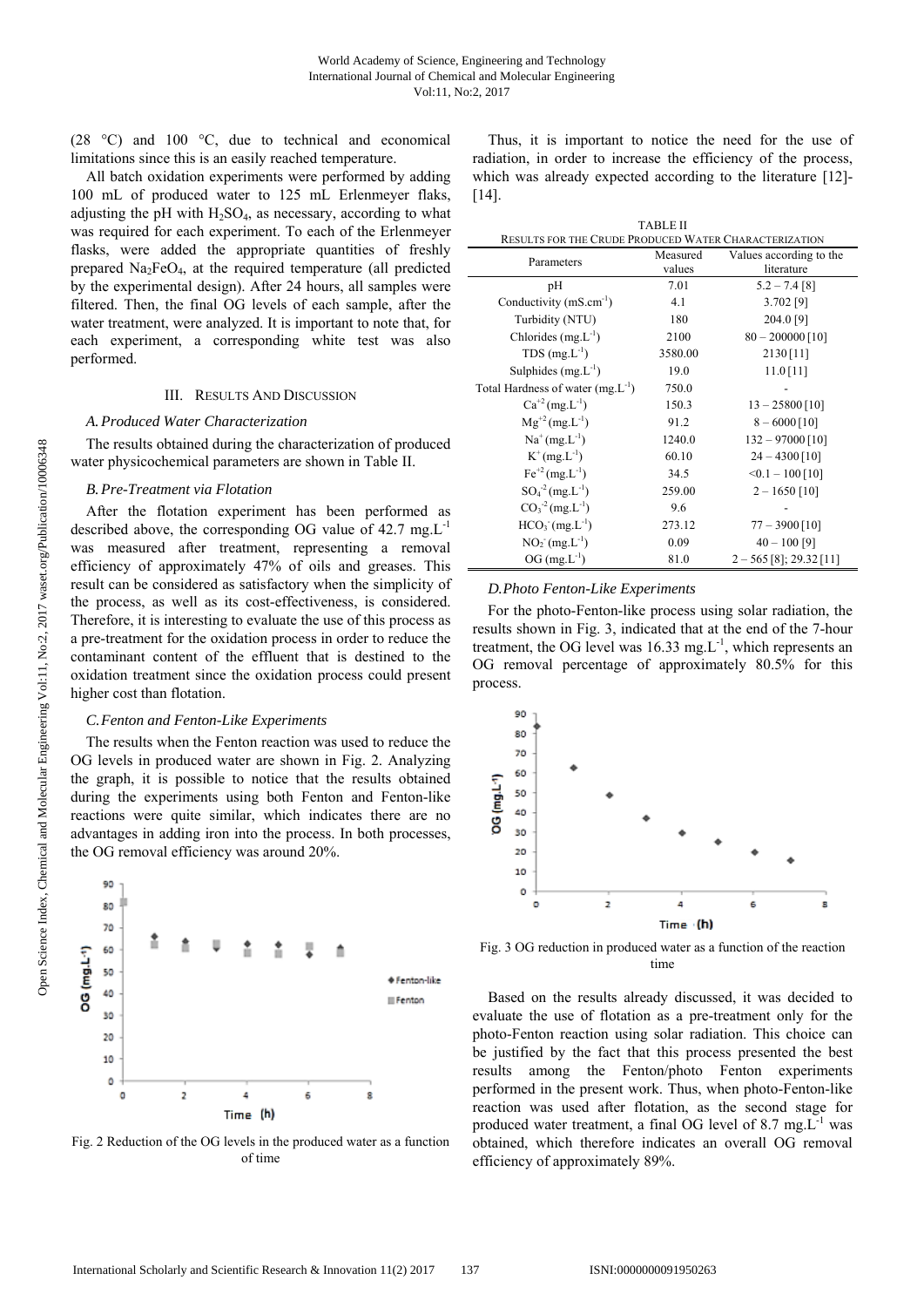(28 °C) and 100 °C, due to technical and economical limitations since this is an easily reached temperature.

All batch oxidation experiments were performed by adding 100 mL of produced water to 125 mL Erlenmeyer flaks, adjusting the pH with  $H_2SO_4$ , as necessary, according to what was required for each experiment. To each of the Erlenmeyer flasks, were added the appropriate quantities of freshly prepared  $Na<sub>2</sub>FeO<sub>4</sub>$ , at the required temperature (all predicted by the experimental design). After 24 hours, all samples were filtered. Then, the final OG levels of each sample, after the water treatment, were analyzed. It is important to note that, for each experiment, a corresponding white test was also performed.

#### III. RESULTS AND DISCUSSION

## *A.Produced Water Characterization*

The results obtained during the characterization of produced water physicochemical parameters are shown in Table II.

## *B.Pre-Treatment via Flotation*

After the flotation experiment has been performed as described above, the corresponding OG value of  $42.7 \text{ mg.L}^{-1}$ was measured after treatment, representing a removal efficiency of approximately 47% of oils and greases. This result can be considered as satisfactory when the simplicity of the process, as well as its cost-effectiveness, is considered. Therefore, it is interesting to evaluate the use of this process as a pre-treatment for the oxidation process in order to reduce the contaminant content of the effluent that is destined to the oxidation treatment since the oxidation process could present higher cost than flotation.

#### *C.Fenton and Fenton-Like Experiments*

The results when the Fenton reaction was used to reduce the OG levels in produced water are shown in Fig. 2. Analyzing the graph, it is possible to notice that the results obtained during the experiments using both Fenton and Fenton-like reactions were quite similar, which indicates there are no advantages in adding iron into the process. In both processes, the OG removal efficiency was around 20%.



Fig. 2 Reduction of the OG levels in the produced water as a function of time

Thus, it is important to notice the need for the use of radiation, in order to increase the efficiency of the process, which was already expected according to the literature [12]- [14].

| <b>TABLE II</b>                                              |          |                           |  |  |
|--------------------------------------------------------------|----------|---------------------------|--|--|
| <b>RESULTS FOR THE CRUDE PRODUCED WATER CHARACTERIZATION</b> |          |                           |  |  |
| Parameters                                                   | Measured | Values according to the   |  |  |
|                                                              | values   | literature                |  |  |
| pH                                                           | 7.01     | $5.2 - 7.4$ [8]           |  |  |
| Conductivity $(mS.cm^{-1})$                                  | 4.1      | 3.702 [9]                 |  |  |
| Turbidity (NTU)                                              | 180      | 204.0 [9]                 |  |  |
| Chlorides $(mg.L^{-1})$                                      | 2100     | $80 - 200000$ [10]        |  |  |
| $TDS$ (mg. $L^{-1}$ )                                        | 3580.00  | 2130 [11]                 |  |  |
| Sulphides $(mg.L^{-1})$                                      | 19.0     | $11.0$ [11]               |  |  |
| Total Hardness of water $(mg.L^{-1})$                        | 750.0    |                           |  |  |
| $Ca^{+2}$ (mg.L <sup>-1</sup> )                              | 150.3    | $13 - 25800$ [10]         |  |  |
| $Mg^{+2} (mg.L^{-1})$                                        | 91.2     | $8 - 6000$ [10]           |  |  |
| $Na^{+}(mg.L^{-1})$                                          | 1240.0   | $132 - 97000$ [10]        |  |  |
| $K^{+}(mg.L^{-1})$                                           | 60.10    | $24 - 4300$ [10]          |  |  |
| $Fe^{+2}$ (mg. L <sup>-1</sup> )                             | 34.5     | $\leq 0.1 - 100$ [10]     |  |  |
| $SO_4^{-2}$ (mg. L <sup>-1</sup> )                           | 259.00   | $2 - 1650$ [10]           |  |  |
| $CO3-2 (mg.L-1)$                                             | 9.6      |                           |  |  |
| $HCO3 (mg.L-1)$                                              | 273.12   | $77 - 3900$ [10]          |  |  |
| $NO2-(mg.L-1)$                                               | 0.09     | $40 - 100$ [9]            |  |  |
| $OG (mg.L^{-1})$                                             | 81.0     | $2 - 565$ [8]; 29.32 [11] |  |  |

# *D.Photo Fenton-Like Experiments*

For the photo-Fenton-like process using solar radiation, the results shown in Fig. 3, indicated that at the end of the 7-hour treatment, the OG level was 16.33 mg. $L^{-1}$ , which represents an OG removal percentage of approximately 80.5% for this process.



Fig. 3 OG reduction in produced water as a function of the reaction time

Based on the results already discussed, it was decided to evaluate the use of flotation as a pre-treatment only for the photo-Fenton reaction using solar radiation. This choice can be justified by the fact that this process presented the best results among the Fenton/photo Fenton experiments performed in the present work. Thus, when photo-Fenton-like reaction was used after flotation, as the second stage for produced water treatment, a final OG level of  $8.7 \text{ mg} \cdot \text{L}^{-1}$  was obtained, which therefore indicates an overall OG removal efficiency of approximately 89%.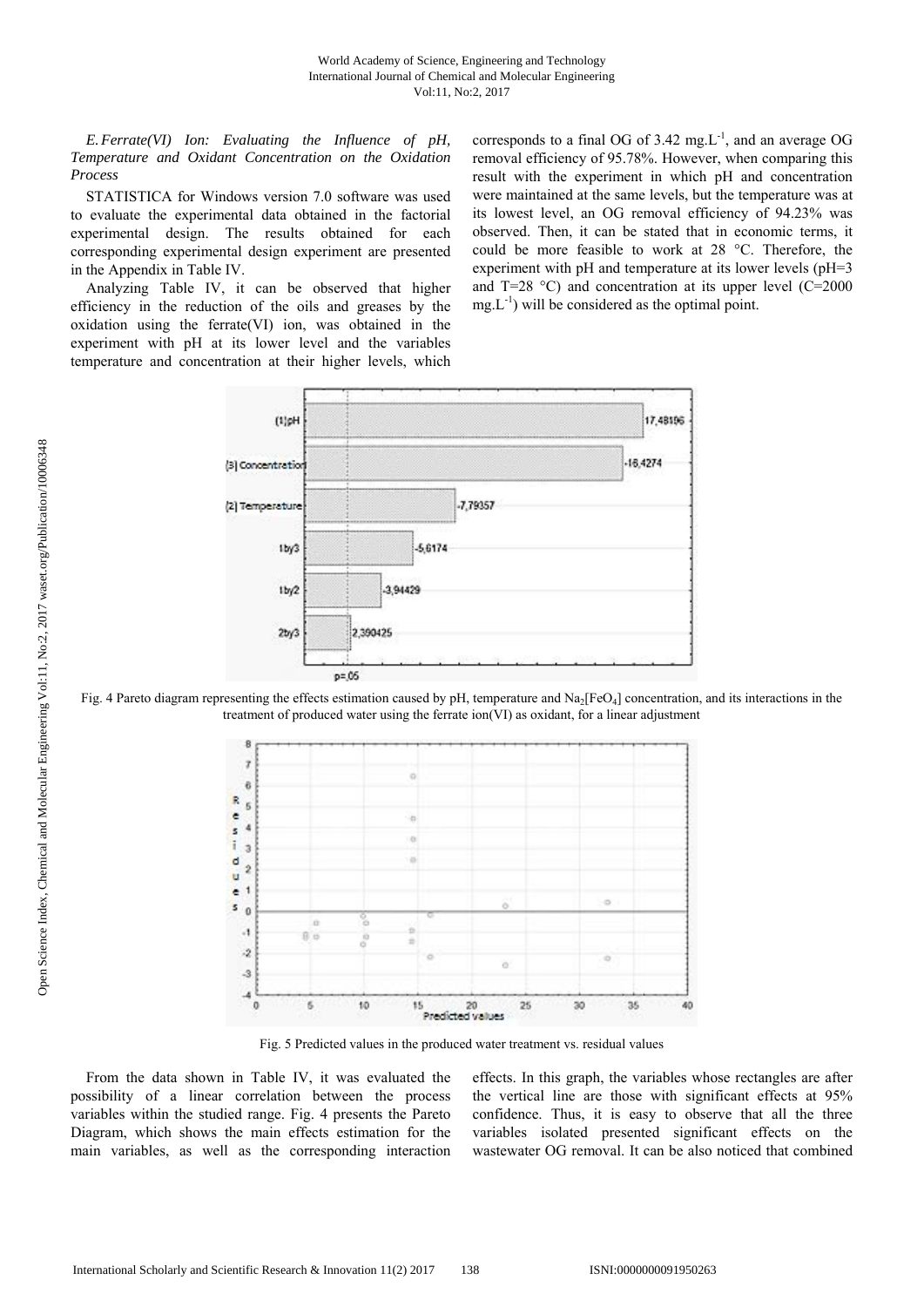*E.Ferrate(VI) Ion: Evaluating the Influence of pH, Temperature and Oxidant Concentration on the Oxidation Process* 

STATISTICA for Windows version 7.0 software was used to evaluate the experimental data obtained in the factorial experimental design. The results obtained for each corresponding experimental design experiment are presented in the Appendix in Table IV.

Analyzing Table IV, it can be observed that higher efficiency in the reduction of the oils and greases by the oxidation using the ferrate(VI) ion, was obtained in the experiment with pH at its lower level and the variables temperature and concentration at their higher levels, which corresponds to a final OG of  $3.42 \text{ mg.L}^{-1}$ , and an average OG removal efficiency of 95.78%. However, when comparing this result with the experiment in which pH and concentration were maintained at the same levels, but the temperature was at its lowest level, an OG removal efficiency of 94.23% was observed. Then, it can be stated that in economic terms, it could be more feasible to work at 28 °C. Therefore, the experiment with pH and temperature at its lower levels (pH=3 and T=28  $^{\circ}$ C) and concentration at its upper level (C=2000  $mg.L^{-1}$ ) will be considered as the optimal point.



Fig. 4 Pareto diagram representing the effects estimation caused by pH, temperature and  $Na<sub>2</sub>[FeO<sub>4</sub>]$  concentration, and its interactions in the treatment of produced water using the ferrate ion(VI) as oxidant, for a linear adjustment



Fig. 5 Predicted values in the produced water treatment vs. residual values

From the data shown in Table IV, it was evaluated the possibility of a linear correlation between the process variables within the studied range. Fig. 4 presents the Pareto Diagram, which shows the main effects estimation for the main variables, as well as the corresponding interaction effects. In this graph, the variables whose rectangles are after the vertical line are those with significant effects at 95% confidence. Thus, it is easy to observe that all the three variables isolated presented significant effects on the wastewater OG removal. It can be also noticed that combined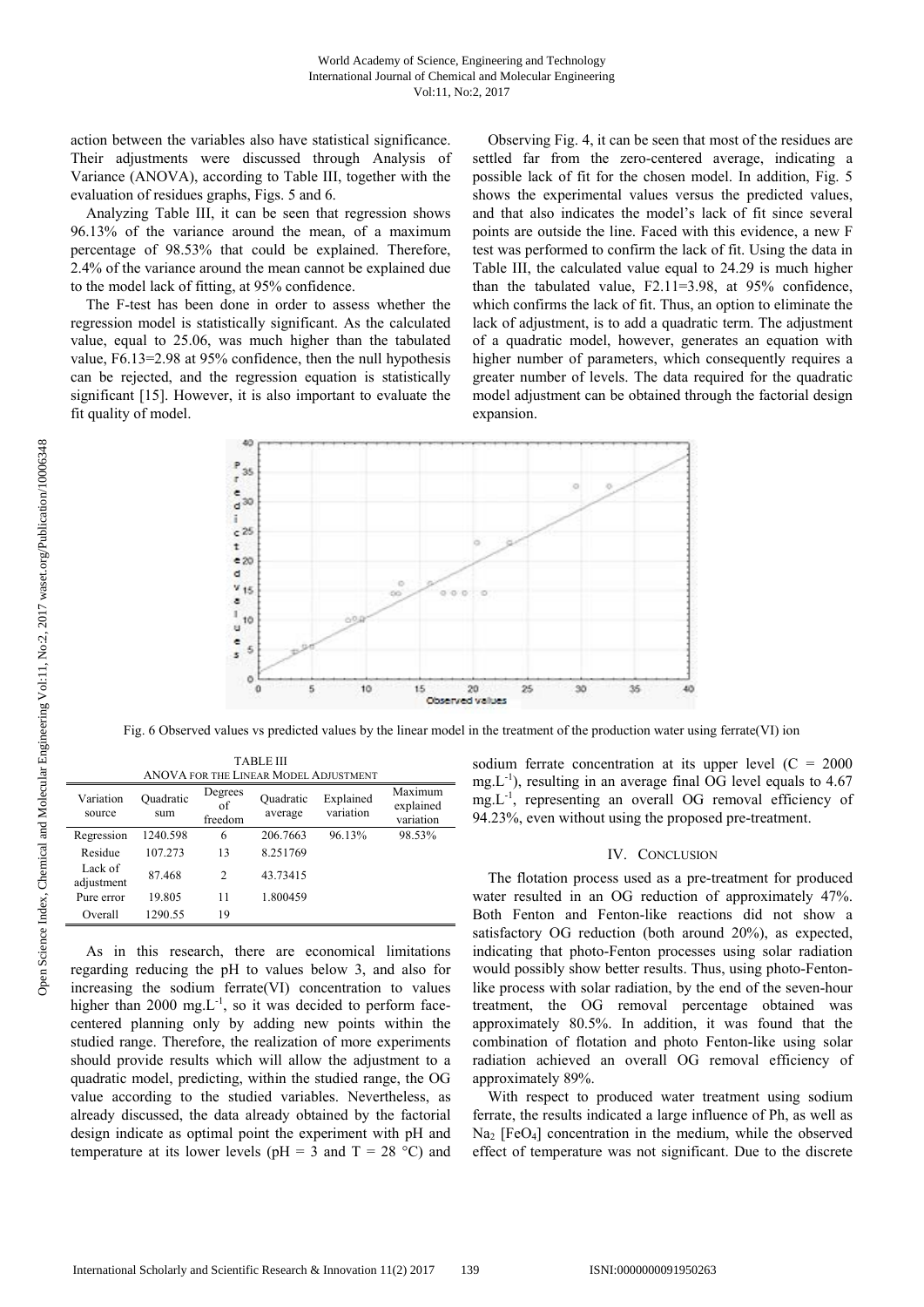action between the variables also have statistical significance. Their adjustments were discussed through Analysis of Variance (ANOVA), according to Table III, together with the evaluation of residues graphs, Figs. 5 and 6.

Analyzing Table III, it can be seen that regression shows 96.13% of the variance around the mean, of a maximum percentage of 98.53% that could be explained. Therefore, 2.4% of the variance around the mean cannot be explained due to the model lack of fitting, at 95% confidence.

The F-test has been done in order to assess whether the regression model is statistically significant. As the calculated value, equal to 25.06, was much higher than the tabulated value, F6.13=2.98 at 95% confidence, then the null hypothesis can be rejected, and the regression equation is statistically significant [15]. However, it is also important to evaluate the fit quality of model.

Observing Fig. 4, it can be seen that most of the residues are settled far from the zero-centered average, indicating a possible lack of fit for the chosen model. In addition, Fig. 5 shows the experimental values versus the predicted values, and that also indicates the model's lack of fit since several points are outside the line. Faced with this evidence, a new F test was performed to confirm the lack of fit. Using the data in Table III, the calculated value equal to 24.29 is much higher than the tabulated value, F2.11=3.98, at 95% confidence, which confirms the lack of fit. Thus, an option to eliminate the lack of adjustment, is to add a quadratic term. The adjustment of a quadratic model, however, generates an equation with higher number of parameters, which consequently requires a greater number of levels. The data required for the quadratic model adjustment can be obtained through the factorial design expansion.



Fig. 6 Observed values vs predicted values by the linear model in the treatment of the production water using ferrate(VI) ion

| ANOVA FOR THE LINEAR MODEL ADJUSTMENT |                  |                          |                      |                        |                                   |  |
|---------------------------------------|------------------|--------------------------|----------------------|------------------------|-----------------------------------|--|
| Variation<br>source                   | Ouadratic<br>sum | Degrees<br>of<br>freedom | Quadratic<br>average | Explained<br>variation | Maximum<br>explained<br>variation |  |
| Regression                            | 1240.598         | 6                        | 206.7663             | 96.13%                 | 98.53%                            |  |
| Residue                               | 107.273          | 13                       | 8.251769             |                        |                                   |  |
| Lack of<br>adjustment                 | 87.468           | 2                        | 43.73415             |                        |                                   |  |
| Pure error                            | 19.805           | 11                       | 1.800459             |                        |                                   |  |
| Overall                               | 1290.55          | 19                       |                      |                        |                                   |  |

TABLE III

As in this research, there are economical limitations regarding reducing the pH to values below 3, and also for increasing the sodium ferrate(VI) concentration to values higher than 2000 mg. $L^{-1}$ , so it was decided to perform facecentered planning only by adding new points within the studied range. Therefore, the realization of more experiments should provide results which will allow the adjustment to a quadratic model, predicting, within the studied range, the OG value according to the studied variables. Nevertheless, as already discussed, the data already obtained by the factorial design indicate as optimal point the experiment with pH and temperature at its lower levels ( $pH = 3$  and  $T = 28$  °C) and sodium ferrate concentration at its upper level  $(C = 2000$ mg. $L^{-1}$ ), resulting in an average final OG level equals to 4.67 mg.L-1, representing an overall OG removal efficiency of 94.23%, even without using the proposed pre-treatment.

#### IV. CONCLUSION

The flotation process used as a pre-treatment for produced water resulted in an OG reduction of approximately 47%. Both Fenton and Fenton-like reactions did not show a satisfactory OG reduction (both around 20%), as expected, indicating that photo-Fenton processes using solar radiation would possibly show better results. Thus, using photo-Fentonlike process with solar radiation, by the end of the seven-hour treatment, the OG removal percentage obtained was approximately 80.5%. In addition, it was found that the combination of flotation and photo Fenton-like using solar radiation achieved an overall OG removal efficiency of approximately 89%.

With respect to produced water treatment using sodium ferrate, the results indicated a large influence of Ph, as well as  $Na<sub>2</sub>$  [FeO<sub>4</sub>] concentration in the medium, while the observed effect of temperature was not significant. Due to the discrete